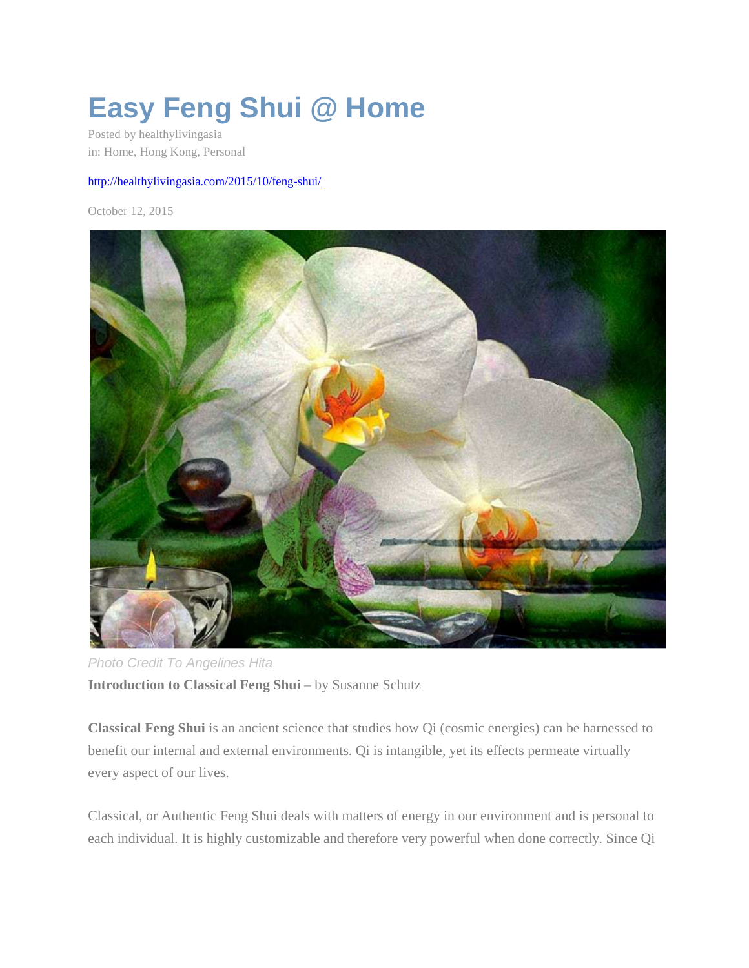## **Easy Feng Shui @ Home**

Posted by healthylivingasia in: Home, Hong Kong, Personal

## http://healthylivingasia.com/2015/10/feng-shui/

October 12, 2015



Photo Credit To Angelines Hita **Introduction to Classical Feng Shui** – by Susanne Schutz

**Classical Feng Shui** is an ancient science that studies how Qi (cosmic energies) can be harnessed to benefit our internal and external environments. Qi is intangible, yet its effects permeate virtually every aspect of our lives.

Classical, or Authentic Feng Shui deals with matters of energy in our environment and is personal to each individual. It is highly customizable and therefore very powerful when done correctly. Since Qi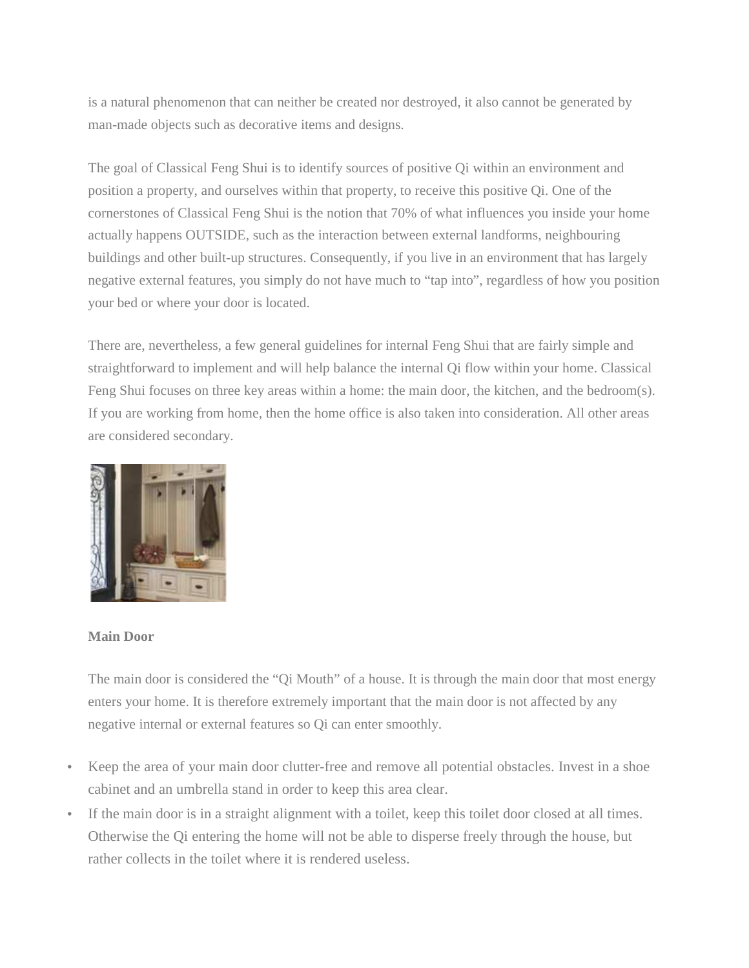is a natural phenomenon that can neither be created nor destroyed, it also cannot be generated by man-made objects such as decorative items and designs.

The goal of Classical Feng Shui is to identify sources of positive Qi within an environment and position a property, and ourselves within that property, to receive this positive Qi. One of the cornerstones of Classical Feng Shui is the notion that 70% of what influences you inside your home actually happens OUTSIDE, such as the interaction between external landforms, neighbouring buildings and other built-up structures. Consequently, if you live in an environment that has largely negative external features, you simply do not have much to "tap into", regardless of how you position your bed or where your door is located.

There are, nevertheless, a few general guidelines for internal Feng Shui that are fairly simple and straightforward to implement and will help balance the internal Qi flow within your home. Classical Feng Shui focuses on three key areas within a home: the main door, the kitchen, and the bedroom(s). If you are working from home, then the home office is also taken into consideration. All other areas are considered secondary.



## **Main Door**

The main door is considered the "Qi Mouth" of a house. It is through the main door that most energy enters your home. It is therefore extremely important that the main door is not affected by any negative internal or external features so Qi can enter smoothly.

- Keep the area of your main door clutter-free and remove all potential obstacles. Invest in a shoe cabinet and an umbrella stand in order to keep this area clear.
- If the main door is in a straight alignment with a toilet, keep this toilet door closed at all times. Otherwise the Qi entering the home will not be able to disperse freely through the house, but rather collects in the toilet where it is rendered useless.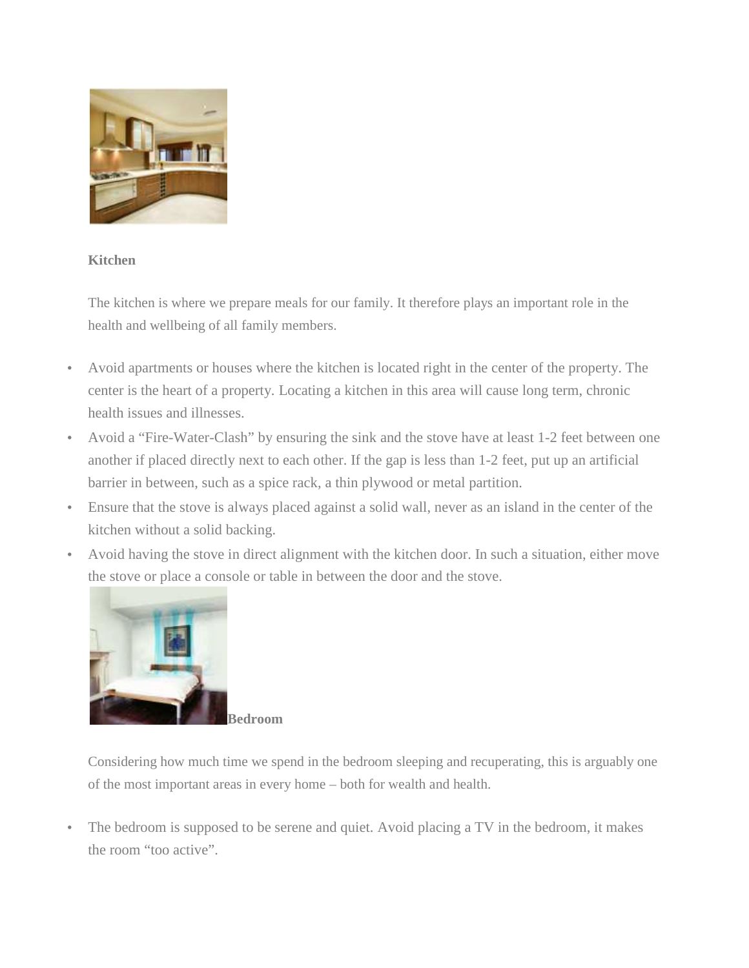

## **Kitchen**

The kitchen is where we prepare meals for our family. It therefore plays an important role in the health and wellbeing of all family members.

- Avoid apartments or houses where the kitchen is located right in the center of the property. The center is the heart of a property. Locating a kitchen in this area will cause long term, chronic health issues and illnesses.
- Avoid a "Fire-Water-Clash" by ensuring the sink and the stove have at least 1-2 feet between one another if placed directly next to each other. If the gap is less than 1-2 feet, put up an artificial barrier in between, such as a spice rack, a thin plywood or metal partition.
- Ensure that the stove is always placed against a solid wall, never as an island in the center of the kitchen without a solid backing.
- Avoid having the stove in direct alignment with the kitchen door. In such a situation, either move the stove or place a console or table in between the door and the stove.



**Bedroom**

Considering how much time we spend in the bedroom sleeping and recuperating, this is arguably one of the most important areas in every home – both for wealth and health.

The bedroom is supposed to be serene and quiet. Avoid placing a TV in the bedroom, it makes the room "too active".